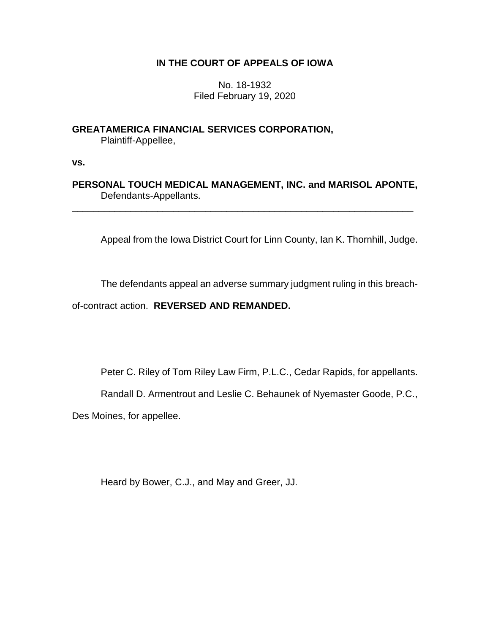# **IN THE COURT OF APPEALS OF IOWA**

No. 18-1932 Filed February 19, 2020

**GREATAMERICA FINANCIAL SERVICES CORPORATION,** Plaintiff-Appellee,

**vs.**

**PERSONAL TOUCH MEDICAL MANAGEMENT, INC. and MARISOL APONTE,** Defendants-Appellants.

\_\_\_\_\_\_\_\_\_\_\_\_\_\_\_\_\_\_\_\_\_\_\_\_\_\_\_\_\_\_\_\_\_\_\_\_\_\_\_\_\_\_\_\_\_\_\_\_\_\_\_\_\_\_\_\_\_\_\_\_\_\_\_\_

Appeal from the Iowa District Court for Linn County, Ian K. Thornhill, Judge.

The defendants appeal an adverse summary judgment ruling in this breach-

of-contract action. **REVERSED AND REMANDED.**

Peter C. Riley of Tom Riley Law Firm, P.L.C., Cedar Rapids, for appellants.

Randall D. Armentrout and Leslie C. Behaunek of Nyemaster Goode, P.C.,

Des Moines, for appellee.

Heard by Bower, C.J., and May and Greer, JJ.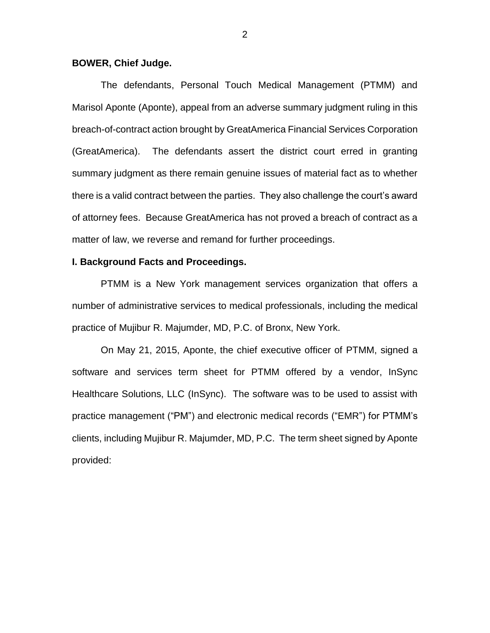### **BOWER, Chief Judge.**

The defendants, Personal Touch Medical Management (PTMM) and Marisol Aponte (Aponte), appeal from an adverse summary judgment ruling in this breach-of-contract action brought by GreatAmerica Financial Services Corporation (GreatAmerica). The defendants assert the district court erred in granting summary judgment as there remain genuine issues of material fact as to whether there is a valid contract between the parties. They also challenge the court's award of attorney fees. Because GreatAmerica has not proved a breach of contract as a matter of law, we reverse and remand for further proceedings.

## **I. Background Facts and Proceedings.**

PTMM is a New York management services organization that offers a number of administrative services to medical professionals, including the medical practice of Mujibur R. Majumder, MD, P.C. of Bronx, New York.

On May 21, 2015, Aponte, the chief executive officer of PTMM, signed a software and services term sheet for PTMM offered by a vendor, InSync Healthcare Solutions, LLC (InSync). The software was to be used to assist with practice management ("PM") and electronic medical records ("EMR") for PTMM's clients, including Mujibur R. Majumder, MD, P.C. The term sheet signed by Aponte provided: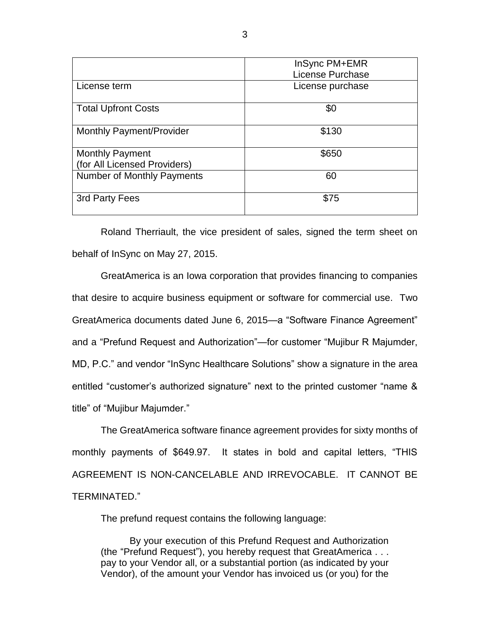|                                                        | InSync PM+EMR    |
|--------------------------------------------------------|------------------|
|                                                        | License Purchase |
| License term                                           | License purchase |
| <b>Total Upfront Costs</b>                             | \$0              |
| <b>Monthly Payment/Provider</b>                        | \$130            |
| <b>Monthly Payment</b><br>(for All Licensed Providers) | \$650            |
| Number of Monthly Payments                             | 60               |
| 3rd Party Fees                                         | \$75             |

Roland Therriault, the vice president of sales, signed the term sheet on behalf of InSync on May 27, 2015.

GreatAmerica is an Iowa corporation that provides financing to companies that desire to acquire business equipment or software for commercial use. Two GreatAmerica documents dated June 6, 2015—a "Software Finance Agreement" and a "Prefund Request and Authorization"—for customer "Mujibur R Majumder, MD, P.C." and vendor "InSync Healthcare Solutions" show a signature in the area entitled "customer's authorized signature" next to the printed customer "name & title" of "Mujibur Majumder."

The GreatAmerica software finance agreement provides for sixty months of monthly payments of \$649.97. It states in bold and capital letters, "THIS AGREEMENT IS NON-CANCELABLE AND IRREVOCABLE. IT CANNOT BE TERMINATED."

The prefund request contains the following language:

By your execution of this Prefund Request and Authorization (the "Prefund Request"), you hereby request that GreatAmerica . . . pay to your Vendor all, or a substantial portion (as indicated by your Vendor), of the amount your Vendor has invoiced us (or you) for the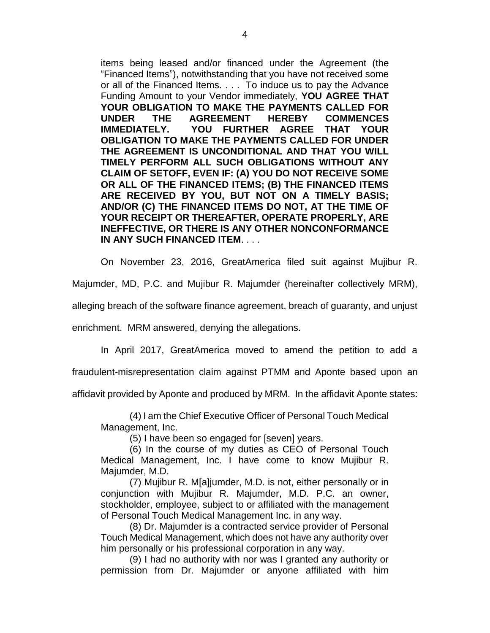items being leased and/or financed under the Agreement (the "Financed Items"), notwithstanding that you have not received some or all of the Financed Items. . . . To induce us to pay the Advance Funding Amount to your Vendor immediately, **YOU AGREE THAT YOUR OBLIGATION TO MAKE THE PAYMENTS CALLED FOR UNDER THE AGREEMENT HEREBY COMMENCES IMMEDIATELY. YOU FURTHER AGREE THAT YOUR OBLIGATION TO MAKE THE PAYMENTS CALLED FOR UNDER THE AGREEMENT IS UNCONDITIONAL AND THAT YOU WILL TIMELY PERFORM ALL SUCH OBLIGATIONS WITHOUT ANY CLAIM OF SETOFF, EVEN IF: (A) YOU DO NOT RECEIVE SOME OR ALL OF THE FINANCED ITEMS; (B) THE FINANCED ITEMS ARE RECEIVED BY YOU, BUT NOT ON A TIMELY BASIS; AND/OR (C) THE FINANCED ITEMS DO NOT, AT THE TIME OF YOUR RECEIPT OR THEREAFTER, OPERATE PROPERLY, ARE INEFFECTIVE, OR THERE IS ANY OTHER NONCONFORMANCE IN ANY SUCH FINANCED ITEM**. . . .

On November 23, 2016, GreatAmerica filed suit against Mujibur R.

Majumder, MD, P.C. and Mujibur R. Majumder (hereinafter collectively MRM),

alleging breach of the software finance agreement, breach of guaranty, and unjust

enrichment. MRM answered, denying the allegations.

In April 2017, GreatAmerica moved to amend the petition to add a

fraudulent-misrepresentation claim against PTMM and Aponte based upon an

affidavit provided by Aponte and produced by MRM. In the affidavit Aponte states:

(4) I am the Chief Executive Officer of Personal Touch Medical Management, Inc.

(5) I have been so engaged for [seven] years.

(6) In the course of my duties as CEO of Personal Touch Medical Management, Inc. I have come to know Mujibur R. Majumder, M.D.

(7) Mujibur R. M[a]jumder, M.D. is not, either personally or in conjunction with Mujibur R. Majumder, M.D. P.C. an owner, stockholder, employee, subject to or affiliated with the management of Personal Touch Medical Management Inc. in any way.

(8) Dr. Majumder is a contracted service provider of Personal Touch Medical Management, which does not have any authority over him personally or his professional corporation in any way.

(9) I had no authority with nor was I granted any authority or permission from Dr. Majumder or anyone affiliated with him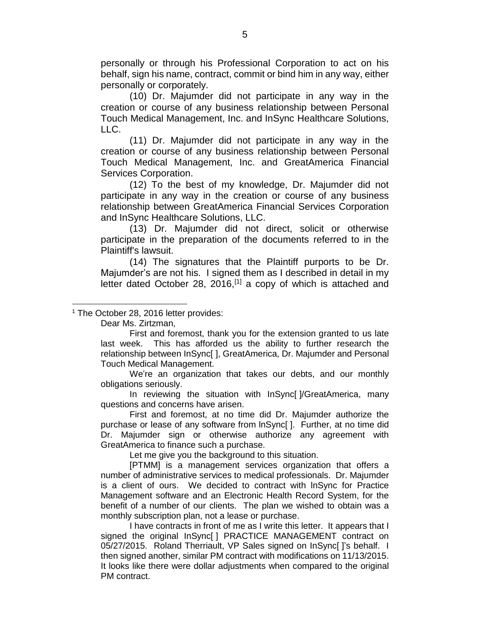personally or through his Professional Corporation to act on his behalf, sign his name, contract, commit or bind him in any way, either personally or corporately.

(10) Dr. Majumder did not participate in any way in the creation or course of any business relationship between Personal Touch Medical Management, Inc. and InSync Healthcare Solutions, LLC.

(11) Dr. Majumder did not participate in any way in the creation or course of any business relationship between Personal Touch Medical Management, Inc. and GreatAmerica Financial Services Corporation.

(12) To the best of my knowledge, Dr. Majumder did not participate in any way in the creation or course of any business relationship between GreatAmerica Financial Services Corporation and InSync Healthcare Solutions, LLC.

(13) Dr. Majumder did not direct, solicit or otherwise participate in the preparation of the documents referred to in the Plaintiff's lawsuit.

(14) The signatures that the Plaintiff purports to be Dr. Majumder's are not his. I signed them as I described in detail in my letter dated October 28, 2016, $[1]$  a copy of which is attached and

Dear Ms. Zirtzman,

 $\overline{a}$ 

First and foremost, thank you for the extension granted to us late last week. This has afforded us the ability to further research the relationship between InSync[ ], GreatAmerica, Dr. Majumder and Personal Touch Medical Management.

We're an organization that takes our debts, and our monthly obligations seriously.

In reviewing the situation with InSync[ ]/GreatAmerica, many questions and concerns have arisen.

First and foremost, at no time did Dr. Majumder authorize the purchase or lease of any software from lnSync[ ]. Further, at no time did Dr. Majumder sign or otherwise authorize any agreement with GreatAmerica to finance such a purchase.

Let me give you the background to this situation.

[PTMM] is a management services organization that offers a number of administrative services to medical professionals. Dr. Majumder is a client of ours. We decided to contract with lnSync for Practice Management software and an Electronic Health Record System, for the benefit of a number of our clients. The plan we wished to obtain was a monthly subscription plan, not a lease or purchase.

I have contracts in front of me as I write this letter. It appears that I signed the original InSync[ ] PRACTICE MANAGEMENT contract on 05/27/2015. Roland Therriault, VP Sales signed on InSync[ ]'s behalf. I then signed another, similar PM contract with modifications on 11/13/2015. It looks like there were dollar adjustments when compared to the original PM contract.

<sup>&</sup>lt;sup>1</sup> The October 28, 2016 letter provides: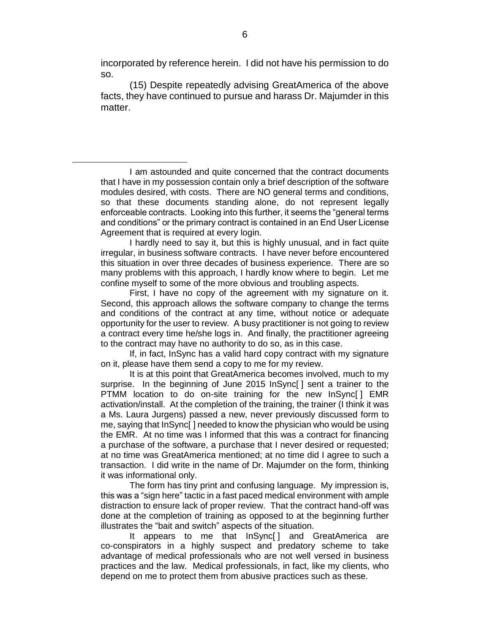incorporated by reference herein. I did not have his permission to do so.

(15) Despite repeatedly advising GreatAmerica of the above facts, they have continued to pursue and harass Dr. Majumder in this matter.

I am astounded and quite concerned that the contract documents that I have in my possession contain only a brief description of the software modules desired, with costs. There are NO general terms and conditions, so that these documents standing alone, do not represent legally enforceable contracts. Looking into this further, it seems the "general terms and conditions" or the primary contract is contained in an End User License Agreement that is required at every login.

 $\overline{a}$ 

I hardly need to say it, but this is highly unusual, and in fact quite irregular, in business software contracts. I have never before encountered this situation in over three decades of business experience. There are so many problems with this approach, I hardly know where to begin. Let me confine myself to some of the more obvious and troubling aspects.

First, I have no copy of the agreement with my signature on it. Second, this approach allows the software company to change the terms and conditions of the contract at any time, without notice or adequate opportunity for the user to review. A busy practitioner is not going to review a contract every time he/she logs in. And finally, the practitioner agreeing to the contract may have no authority to do so, as in this case.

If, in fact, InSync has a valid hard copy contract with my signature on it, please have them send a copy to me for my review.

It is at this point that GreatAmerica becomes involved, much to my surprise. In the beginning of June 2015 InSync[ ] sent a trainer to the PTMM location to do on-site training for the new InSync[ ] EMR activation/install. At the completion of the training, the trainer (I think it was a Ms. Laura Jurgens) passed a new, never previously discussed form to me, saying that InSync[ ] needed to know the physician who would be using the EMR. At no time was I informed that this was a contract for financing a purchase of the software, a purchase that I never desired or requested; at no time was GreatAmerica mentioned; at no time did I agree to such a transaction. I did write in the name of Dr. Majumder on the form, thinking it was informational only.

The form has tiny print and confusing language. My impression is, this was a "sign here" tactic in a fast paced medical environment with ample distraction to ensure lack of proper review. That the contract hand-off was done at the completion of training as opposed to at the beginning further illustrates the "bait and switch" aspects of the situation.

It appears to me that InSync[ ] and GreatAmerica are co-conspirators in a highly suspect and predatory scheme to take advantage of medical professionals who are not well versed in business practices and the law. Medical professionals, in fact, like my clients, who depend on me to protect them from abusive practices such as these.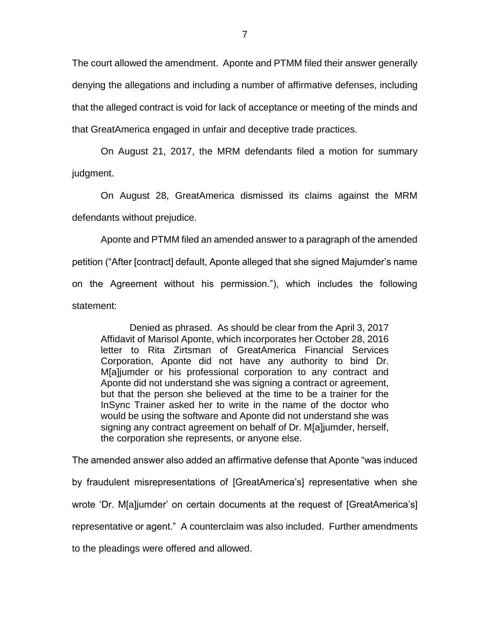The court allowed the amendment. Aponte and PTMM filed their answer generally denying the allegations and including a number of affirmative defenses, including that the alleged contract is void for lack of acceptance or meeting of the minds and that GreatAmerica engaged in unfair and deceptive trade practices.

On August 21, 2017, the MRM defendants filed a motion for summary judgment.

On August 28, GreatAmerica dismissed its claims against the MRM defendants without prejudice.

Aponte and PTMM filed an amended answer to a paragraph of the amended petition ("After [contract] default, Aponte alleged that she signed Majumder's name on the Agreement without his permission."), which includes the following statement:

Denied as phrased. As should be clear from the April 3, 2017 Affidavit of Marisol Aponte, which incorporates her October 28, 2016 letter to Rita Zirtsman of GreatAmerica Financial Services Corporation, Aponte did not have any authority to bind Dr. M[a]jumder or his professional corporation to any contract and Aponte did not understand she was signing a contract or agreement, but that the person she believed at the time to be a trainer for the InSync Trainer asked her to write in the name of the doctor who would be using the software and Aponte did not understand she was signing any contract agreement on behalf of Dr. M[a]jumder, herself, the corporation she represents, or anyone else.

The amended answer also added an affirmative defense that Aponte "was induced by fraudulent misrepresentations of [GreatAmerica's] representative when she wrote 'Dr. M[a]jumder' on certain documents at the request of [GreatAmerica's] representative or agent." A counterclaim was also included. Further amendments to the pleadings were offered and allowed.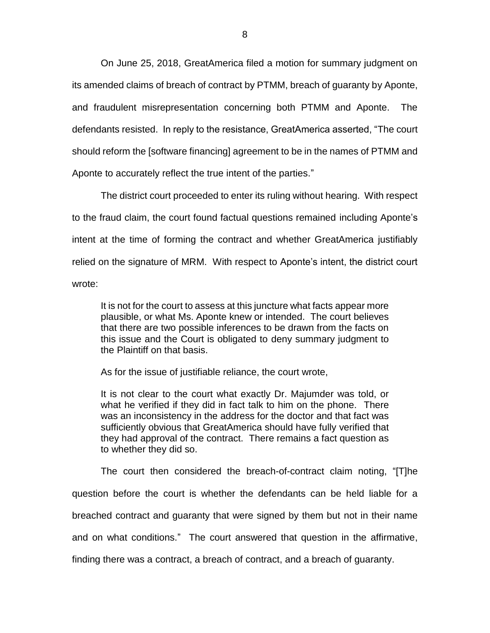On June 25, 2018, GreatAmerica filed a motion for summary judgment on its amended claims of breach of contract by PTMM, breach of guaranty by Aponte, and fraudulent misrepresentation concerning both PTMM and Aponte. The defendants resisted. In reply to the resistance, GreatAmerica asserted, "The court should reform the [software financing] agreement to be in the names of PTMM and Aponte to accurately reflect the true intent of the parties."

The district court proceeded to enter its ruling without hearing. With respect to the fraud claim, the court found factual questions remained including Aponte's intent at the time of forming the contract and whether GreatAmerica justifiably relied on the signature of MRM. With respect to Aponte's intent, the district court wrote:

It is not for the court to assess at this juncture what facts appear more plausible, or what Ms. Aponte knew or intended. The court believes that there are two possible inferences to be drawn from the facts on this issue and the Court is obligated to deny summary judgment to the Plaintiff on that basis.

As for the issue of justifiable reliance, the court wrote,

It is not clear to the court what exactly Dr. Majumder was told, or what he verified if they did in fact talk to him on the phone. There was an inconsistency in the address for the doctor and that fact was sufficiently obvious that GreatAmerica should have fully verified that they had approval of the contract. There remains a fact question as to whether they did so.

The court then considered the breach-of-contract claim noting, "[T]he question before the court is whether the defendants can be held liable for a breached contract and guaranty that were signed by them but not in their name and on what conditions." The court answered that question in the affirmative, finding there was a contract, a breach of contract, and a breach of guaranty.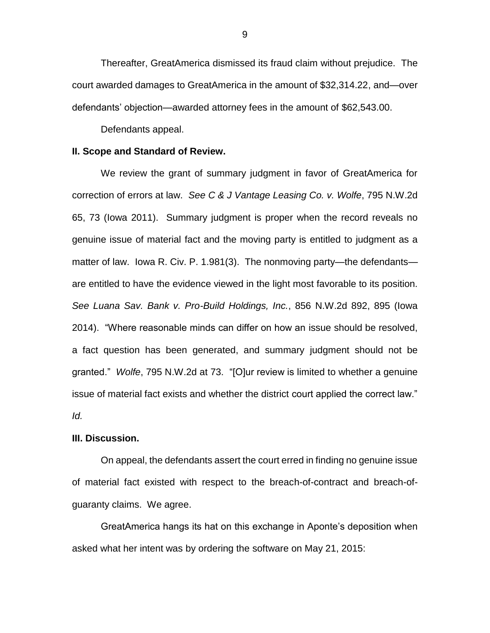Thereafter, GreatAmerica dismissed its fraud claim without prejudice. The court awarded damages to GreatAmerica in the amount of \$32,314.22, and—over defendants' objection—awarded attorney fees in the amount of \$62,543.00.

Defendants appeal.

#### **II. Scope and Standard of Review.**

We review the grant of summary judgment in favor of GreatAmerica for correction of errors at law. *See C & J Vantage Leasing Co. v. Wolfe*, 795 N.W.2d 65, 73 (Iowa 2011). Summary judgment is proper when the record reveals no genuine issue of material fact and the moving party is entitled to judgment as a matter of law. Iowa R. Civ. P. 1.981(3). The nonmoving party—the defendants are entitled to have the evidence viewed in the light most favorable to its position. *See Luana Sav. Bank v. Pro-Build Holdings, Inc.*, 856 N.W.2d 892, 895 (Iowa 2014). "Where reasonable minds can differ on how an issue should be resolved, a fact question has been generated, and summary judgment should not be granted." *Wolfe*, 795 N.W.2d at 73. "[O]ur review is limited to whether a genuine issue of material fact exists and whether the district court applied the correct law." *Id.*

#### **III. Discussion.**

On appeal, the defendants assert the court erred in finding no genuine issue of material fact existed with respect to the breach-of-contract and breach-ofguaranty claims. We agree.

GreatAmerica hangs its hat on this exchange in Aponte's deposition when asked what her intent was by ordering the software on May 21, 2015:

9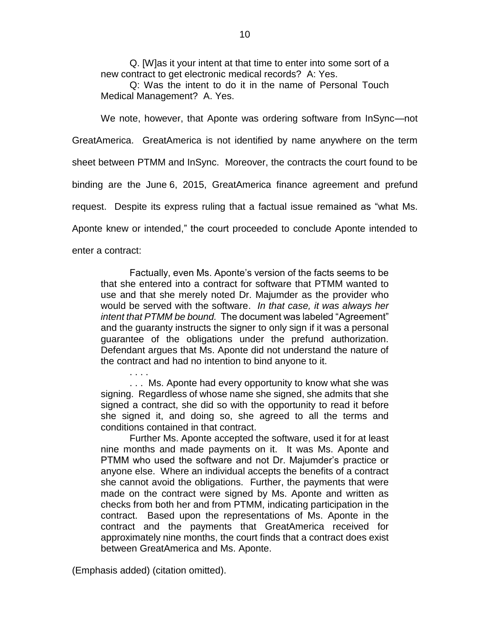Q. [W]as it your intent at that time to enter into some sort of a new contract to get electronic medical records? A: Yes.

Q: Was the intent to do it in the name of Personal Touch Medical Management? A. Yes.

We note, however, that Aponte was ordering software from InSync—not

GreatAmerica. GreatAmerica is not identified by name anywhere on the term

sheet between PTMM and InSync. Moreover, the contracts the court found to be

binding are the June 6, 2015, GreatAmerica finance agreement and prefund

request. Despite its express ruling that a factual issue remained as "what Ms.

Aponte knew or intended," the court proceeded to conclude Aponte intended to

enter a contract:

Factually, even Ms. Aponte's version of the facts seems to be that she entered into a contract for software that PTMM wanted to use and that she merely noted Dr. Majumder as the provider who would be served with the software. *In that case, it was always her intent that PTMM be bound.* The document was labeled "Agreement" and the guaranty instructs the signer to only sign if it was a personal guarantee of the obligations under the prefund authorization. Defendant argues that Ms. Aponte did not understand the nature of the contract and had no intention to bind anyone to it.

. . . Ms. Aponte had every opportunity to know what she was signing. Regardless of whose name she signed, she admits that she signed a contract, she did so with the opportunity to read it before she signed it, and doing so, she agreed to all the terms and conditions contained in that contract.

Further Ms. Aponte accepted the software, used it for at least nine months and made payments on it. It was Ms. Aponte and PTMM who used the software and not Dr. Majumder's practice or anyone else. Where an individual accepts the benefits of a contract she cannot avoid the obligations. Further, the payments that were made on the contract were signed by Ms. Aponte and written as checks from both her and from PTMM, indicating participation in the contract. Based upon the representations of Ms. Aponte in the contract and the payments that GreatAmerica received for approximately nine months, the court finds that a contract does exist between GreatAmerica and Ms. Aponte.

(Emphasis added) (citation omitted).

. . . .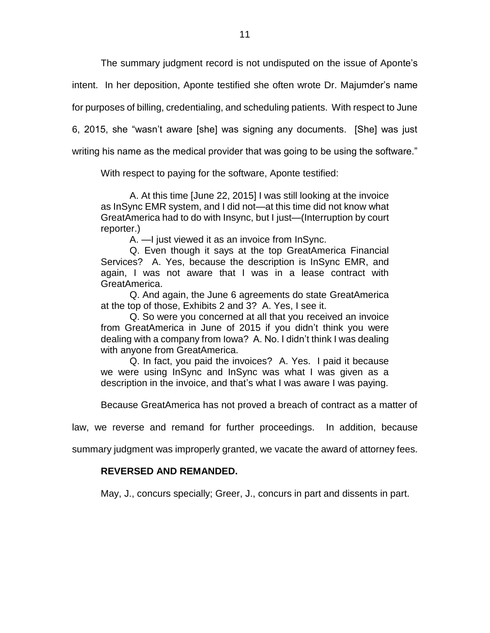The summary judgment record is not undisputed on the issue of Aponte's

intent. In her deposition, Aponte testified she often wrote Dr. Majumder's name

for purposes of billing, credentialing, and scheduling patients. With respect to June

6, 2015, she "wasn't aware [she] was signing any documents. [She] was just

writing his name as the medical provider that was going to be using the software."

With respect to paying for the software, Aponte testified:

A. At this time [June 22, 2015] I was still looking at the invoice as InSync EMR system, and I did not—at this time did not know what GreatAmerica had to do with Insync, but I just—(Interruption by court reporter.)

A. —I just viewed it as an invoice from InSync.

Q. Even though it says at the top GreatAmerica Financial Services? A. Yes, because the description is InSync EMR, and again, I was not aware that I was in a lease contract with GreatAmerica.

Q. And again, the June 6 agreements do state GreatAmerica at the top of those, Exhibits 2 and 3? A. Yes, I see it.

Q. So were you concerned at all that you received an invoice from GreatAmerica in June of 2015 if you didn't think you were dealing with a company from Iowa? A. No. I didn't think I was dealing with anyone from GreatAmerica.

Q. In fact, you paid the invoices? A. Yes. I paid it because we were using InSync and InSync was what I was given as a description in the invoice, and that's what I was aware I was paying.

Because GreatAmerica has not proved a breach of contract as a matter of

law, we reverse and remand for further proceedings. In addition, because

summary judgment was improperly granted, we vacate the award of attorney fees.

# **REVERSED AND REMANDED.**

May, J., concurs specially; Greer, J., concurs in part and dissents in part.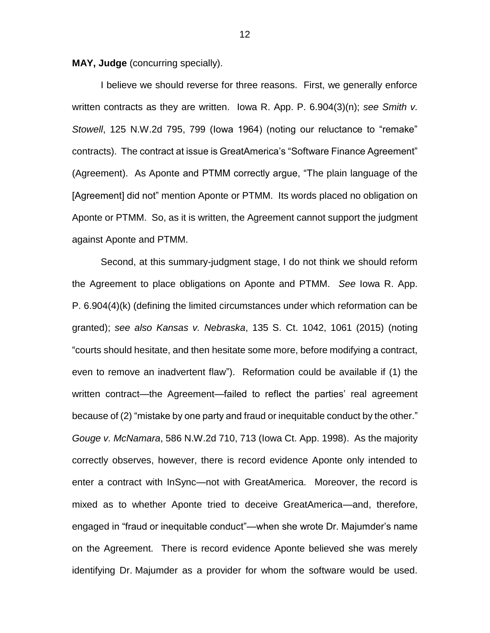**MAY, Judge** (concurring specially).

I believe we should reverse for three reasons. First, we generally enforce written contracts as they are written. Iowa R. App. P. 6.904(3)(n); *see Smith v. Stowell*, 125 N.W.2d 795, 799 (Iowa 1964) (noting our reluctance to "remake" contracts). The contract at issue is GreatAmerica's "Software Finance Agreement" (Agreement). As Aponte and PTMM correctly argue, "The plain language of the [Agreement] did not" mention Aponte or PTMM. Its words placed no obligation on Aponte or PTMM. So, as it is written, the Agreement cannot support the judgment against Aponte and PTMM.

Second, at this summary-judgment stage, I do not think we should reform the Agreement to place obligations on Aponte and PTMM. *See* Iowa R. App. P. 6.904(4)(k) (defining the limited circumstances under which reformation can be granted); *see also Kansas v. Nebraska*, 135 S. Ct. 1042, 1061 (2015) (noting "courts should hesitate, and then hesitate some more, before modifying a contract, even to remove an inadvertent flaw"). Reformation could be available if (1) the written contract—the Agreement—failed to reflect the parties' real agreement because of (2) "mistake by one party and fraud or inequitable conduct by the other." *Gouge v. McNamara*, 586 N.W.2d 710, 713 (Iowa Ct. App. 1998). As the majority correctly observes, however, there is record evidence Aponte only intended to enter a contract with InSync—not with GreatAmerica. Moreover, the record is mixed as to whether Aponte tried to deceive GreatAmerica—and, therefore, engaged in "fraud or inequitable conduct"—when she wrote Dr. Majumder's name on the Agreement. There is record evidence Aponte believed she was merely identifying Dr. Majumder as a provider for whom the software would be used.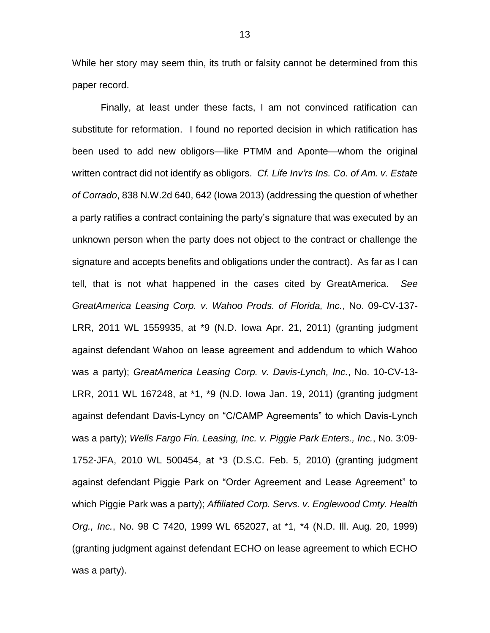While her story may seem thin, its truth or falsity cannot be determined from this paper record.

Finally, at least under these facts, I am not convinced ratification can substitute for reformation. I found no reported decision in which ratification has been used to add new obligors—like PTMM and Aponte—whom the original written contract did not identify as obligors. *Cf. Life Inv'rs Ins. Co. of Am. v. Estate of Corrado*, 838 N.W.2d 640, 642 (Iowa 2013) (addressing the question of whether a party ratifies a contract containing the party's signature that was executed by an unknown person when the party does not object to the contract or challenge the signature and accepts benefits and obligations under the contract). As far as I can tell, that is not what happened in the cases cited by GreatAmerica. *See GreatAmerica Leasing Corp. v. Wahoo Prods. of Florida, Inc.*, No. 09-CV-137- LRR, 2011 WL 1559935, at \*9 (N.D. Iowa Apr. 21, 2011) (granting judgment against defendant Wahoo on lease agreement and addendum to which Wahoo was a party); *GreatAmerica Leasing Corp. v. Davis-Lynch, Inc.*, No. 10-CV-13- LRR, 2011 WL 167248, at \*1, \*9 (N.D. Iowa Jan. 19, 2011) (granting judgment against defendant Davis-Lyncy on "C/CAMP Agreements" to which Davis-Lynch was a party); *Wells Fargo Fin. Leasing, Inc. v. Piggie Park Enters., Inc.*, No. 3:09- 1752-JFA, 2010 WL 500454, at \*3 (D.S.C. Feb. 5, 2010) (granting judgment against defendant Piggie Park on "Order Agreement and Lease Agreement" to which Piggie Park was a party); *Affiliated Corp. Servs. v. Englewood Cmty. Health Org., Inc.*, No. 98 C 7420, 1999 WL 652027, at \*1, \*4 (N.D. Ill. Aug. 20, 1999) (granting judgment against defendant ECHO on lease agreement to which ECHO was a party).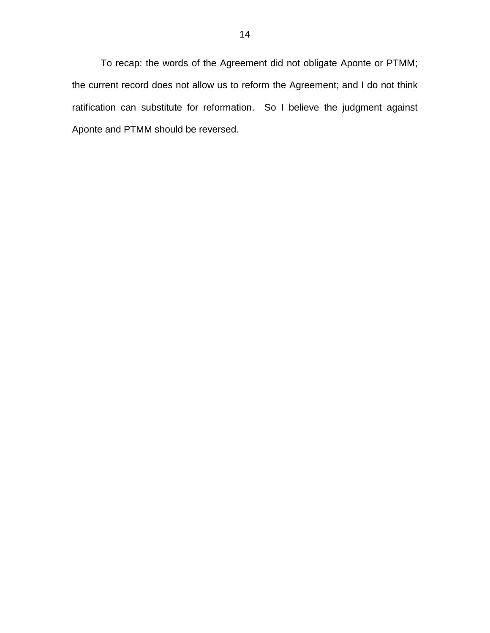To recap: the words of the Agreement did not obligate Aponte or PTMM; the current record does not allow us to reform the Agreement; and I do not think ratification can substitute for reformation. So I believe the judgment against Aponte and PTMM should be reversed.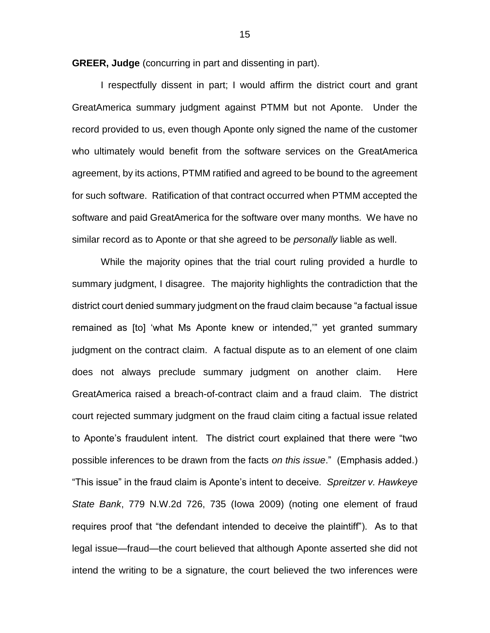**GREER, Judge** (concurring in part and dissenting in part).

I respectfully dissent in part; I would affirm the district court and grant GreatAmerica summary judgment against PTMM but not Aponte. Under the record provided to us, even though Aponte only signed the name of the customer who ultimately would benefit from the software services on the GreatAmerica agreement, by its actions, PTMM ratified and agreed to be bound to the agreement for such software. Ratification of that contract occurred when PTMM accepted the software and paid GreatAmerica for the software over many months. We have no similar record as to Aponte or that she agreed to be *personally* liable as well.

While the majority opines that the trial court ruling provided a hurdle to summary judgment, I disagree. The majority highlights the contradiction that the district court denied summary judgment on the fraud claim because "a factual issue remained as [to] 'what Ms Aponte knew or intended,'" yet granted summary judgment on the contract claim. A factual dispute as to an element of one claim does not always preclude summary judgment on another claim. Here GreatAmerica raised a breach-of-contract claim and a fraud claim. The district court rejected summary judgment on the fraud claim citing a factual issue related to Aponte's fraudulent intent. The district court explained that there were "two possible inferences to be drawn from the facts *on this issue*." (Emphasis added.) "This issue" in the fraud claim is Aponte's intent to deceive*. Spreitzer v. Hawkeye State Bank*, 779 N.W.2d 726, 735 (Iowa 2009) (noting one element of fraud requires proof that "the defendant intended to deceive the plaintiff"). As to that legal issue—fraud—the court believed that although Aponte asserted she did not intend the writing to be a signature, the court believed the two inferences were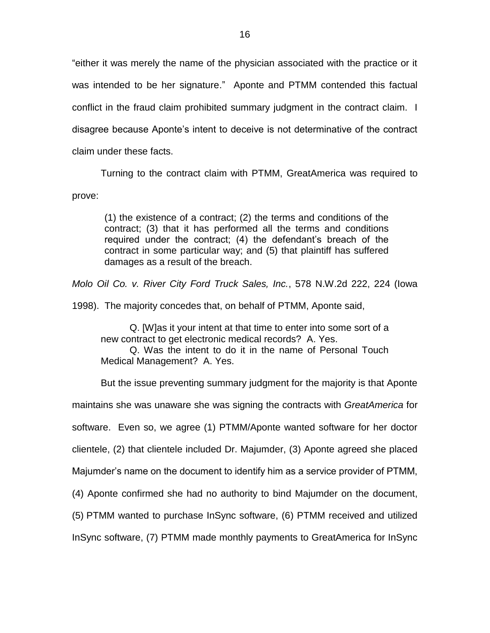"either it was merely the name of the physician associated with the practice or it was intended to be her signature." Aponte and PTMM contended this factual conflict in the fraud claim prohibited summary judgment in the contract claim. I disagree because Aponte's intent to deceive is not determinative of the contract claim under these facts.

Turning to the contract claim with PTMM, GreatAmerica was required to prove:

(1) the existence of a contract; (2) the terms and conditions of the contract; (3) that it has performed all the terms and conditions required under the contract; (4) the defendant's breach of the contract in some particular way; and (5) that plaintiff has suffered damages as a result of the breach.

*Molo Oil Co. v. River City Ford Truck Sales, Inc.*, 578 N.W.2d 222, 224 (Iowa

1998). The majority concedes that, on behalf of PTMM, Aponte said,

Q. [W]as it your intent at that time to enter into some sort of a new contract to get electronic medical records? A. Yes.

Q. Was the intent to do it in the name of Personal Touch Medical Management? A. Yes.

But the issue preventing summary judgment for the majority is that Aponte

maintains she was unaware she was signing the contracts with *GreatAmerica* for

software. Even so, we agree (1) PTMM/Aponte wanted software for her doctor

clientele, (2) that clientele included Dr. Majumder, (3) Aponte agreed she placed

Majumder's name on the document to identify him as a service provider of PTMM,

(4) Aponte confirmed she had no authority to bind Majumder on the document,

(5) PTMM wanted to purchase InSync software, (6) PTMM received and utilized

InSync software, (7) PTMM made monthly payments to GreatAmerica for InSync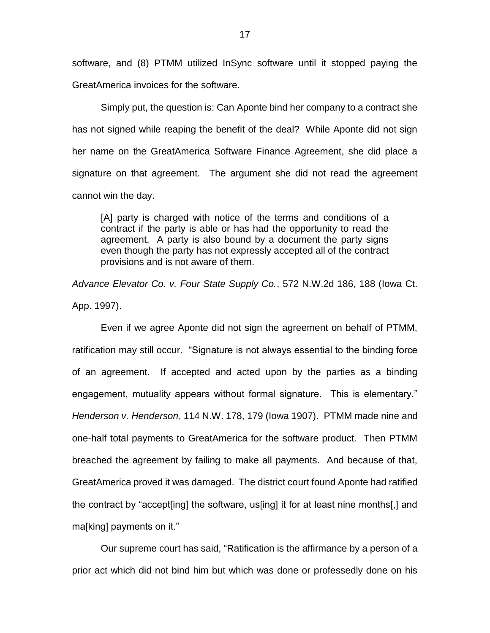software, and (8) PTMM utilized InSync software until it stopped paying the GreatAmerica invoices for the software.

Simply put, the question is: Can Aponte bind her company to a contract she has not signed while reaping the benefit of the deal? While Aponte did not sign her name on the GreatAmerica Software Finance Agreement, she did place a signature on that agreement. The argument she did not read the agreement cannot win the day.

[A] party is charged with notice of the terms and conditions of a contract if the party is able or has had the opportunity to read the agreement. A party is also bound by a document the party signs even though the party has not expressly accepted all of the contract provisions and is not aware of them.

*Advance Elevator Co. v. Four State Supply Co.*, 572 N.W.2d 186, 188 (Iowa Ct. App. 1997).

Even if we agree Aponte did not sign the agreement on behalf of PTMM, ratification may still occur. "Signature is not always essential to the binding force of an agreement. If accepted and acted upon by the parties as a binding engagement, mutuality appears without formal signature. This is elementary." *Henderson v. Henderson*, 114 N.W. 178, 179 (Iowa 1907). PTMM made nine and one-half total payments to GreatAmerica for the software product. Then PTMM breached the agreement by failing to make all payments. And because of that, GreatAmerica proved it was damaged. The district court found Aponte had ratified the contract by "accept[ing] the software, us[ing] it for at least nine months[,] and ma[king] payments on it."

Our supreme court has said, "Ratification is the affirmance by a person of a prior act which did not bind him but which was done or professedly done on his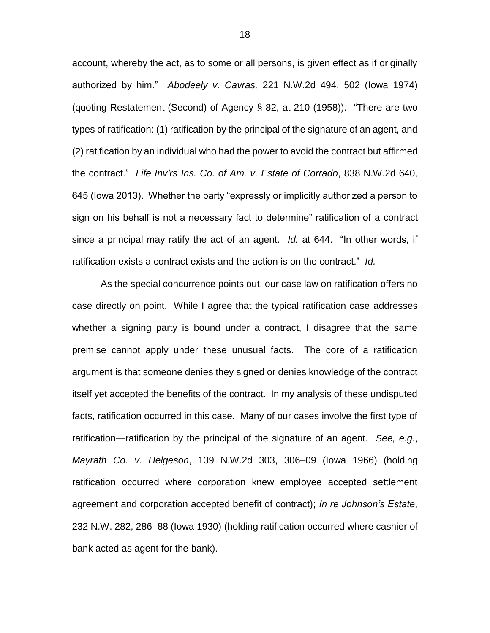account, whereby the act, as to some or all persons, is given effect as if originally authorized by him." *Abodeely v. Cavras,* 221 N.W.2d 494, 502 (Iowa 1974) (quoting Restatement (Second) of Agency § 82, at 210 (1958)). "There are two types of ratification: (1) ratification by the principal of the signature of an agent, and (2) ratification by an individual who had the power to avoid the contract but affirmed the contract." *Life Inv'rs Ins. Co. of Am. v. Estate of Corrado*, 838 N.W.2d 640, 645 (Iowa 2013). Whether the party "expressly or implicitly authorized a person to sign on his behalf is not a necessary fact to determine" ratification of a contract since a principal may ratify the act of an agent. *Id.* at 644. "In other words, if ratification exists a contract exists and the action is on the contract." *Id.* 

As the special concurrence points out, our case law on ratification offers no case directly on point. While I agree that the typical ratification case addresses whether a signing party is bound under a contract, I disagree that the same premise cannot apply under these unusual facts. The core of a ratification argument is that someone denies they signed or denies knowledge of the contract itself yet accepted the benefits of the contract. In my analysis of these undisputed facts, ratification occurred in this case. Many of our cases involve the first type of ratification—ratification by the principal of the signature of an agent. *See, e.g.*, *Mayrath Co. v. Helgeson*, 139 N.W.2d 303, 306–09 (Iowa 1966) (holding ratification occurred where corporation knew employee accepted settlement agreement and corporation accepted benefit of contract); *In re Johnson's Estate*, 232 N.W. 282, 286–88 (Iowa 1930) (holding ratification occurred where cashier of bank acted as agent for the bank).